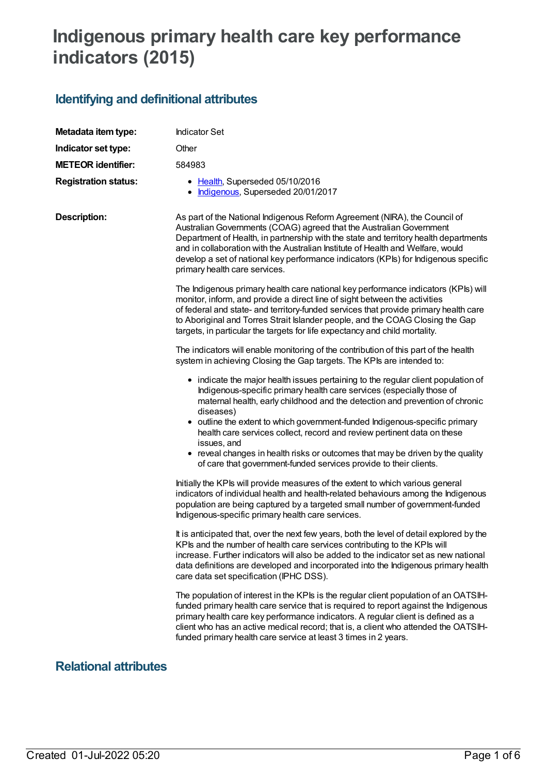# **Indigenous primary health care key performance indicators (2015)**

## **Identifying and definitional attributes**

| Metadata item type:         | <b>Indicator Set</b>                                                                                                                                                                                                                                                                                                                                                                                                                                 |  |  |
|-----------------------------|------------------------------------------------------------------------------------------------------------------------------------------------------------------------------------------------------------------------------------------------------------------------------------------------------------------------------------------------------------------------------------------------------------------------------------------------------|--|--|
| Indicator set type:         | Other                                                                                                                                                                                                                                                                                                                                                                                                                                                |  |  |
| <b>METEOR identifier:</b>   | 584983                                                                                                                                                                                                                                                                                                                                                                                                                                               |  |  |
| <b>Registration status:</b> | • Health, Superseded 05/10/2016<br>Indigenous, Superseded 20/01/2017                                                                                                                                                                                                                                                                                                                                                                                 |  |  |
| <b>Description:</b>         | As part of the National Indigenous Reform Agreement (NIRA), the Council of<br>Australian Governments (COAG) agreed that the Australian Government<br>Department of Health, in partnership with the state and territory health departments<br>and in collaboration with the Australian Institute of Health and Welfare, would<br>develop a set of national key performance indicators (KPIs) for Indigenous specific<br>primary health care services. |  |  |
|                             | The Indigenous primary health care national key performance indicators (KPIs) will<br>monitor, inform, and provide a direct line of sight between the activities<br>of federal and state- and territory-funded services that provide primary health care<br>to Aboriginal and Torres Strait Islander people, and the COAG Closing the Gap<br>targets, in particular the targets for life expectancy and child mortality.                             |  |  |
|                             | The indicators will enable monitoring of the contribution of this part of the health<br>system in achieving Closing the Gap targets. The KPIs are intended to:                                                                                                                                                                                                                                                                                       |  |  |
|                             | • indicate the major health issues pertaining to the regular client population of<br>Indigenous-specific primary health care services (especially those of<br>maternal health, early childhood and the detection and prevention of chronic<br>diseases)<br>• outline the extent to which government-funded Indigenous-specific primary<br>health care services collect, record and review pertinent data on these                                    |  |  |
|                             | issues, and<br>• reveal changes in health risks or outcomes that may be driven by the quality<br>of care that government-funded services provide to their clients.                                                                                                                                                                                                                                                                                   |  |  |
|                             | Initially the KPIs will provide measures of the extent to which various general<br>indicators of individual health and health-related behaviours among the Indigenous<br>population are being captured by a targeted small number of government-funded<br>Indigenous-specific primary health care services.                                                                                                                                          |  |  |
|                             | It is anticipated that, over the next few years, both the level of detail explored by the<br>KPIs and the number of health care services contributing to the KPIs will<br>increase. Further indicators will also be added to the indicator set as new national<br>data definitions are developed and incorporated into the Indigenous primary health<br>care data set specification (IPHC DSS).                                                      |  |  |
|                             | The population of interest in the KPIs is the regular client population of an OATSIH-<br>funded primary health care service that is required to report against the Indigenous<br>primary health care key performance indicators. A regular client is defined as a<br>client who has an active medical record; that is, a client who attended the OATSIH-<br>funded primary health care service at least 3 times in 2 years.                          |  |  |

### **Relational attributes**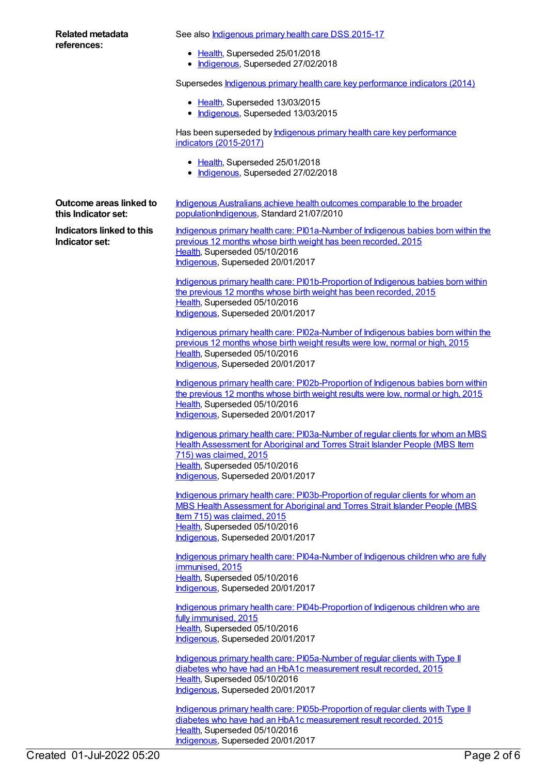| Related metadata                                          | See also <b>Indigenous primary health care DSS 2015-17</b>                                                                                                                                                                                                          |
|-----------------------------------------------------------|---------------------------------------------------------------------------------------------------------------------------------------------------------------------------------------------------------------------------------------------------------------------|
| references:                                               | • Health, Superseded 25/01/2018<br>• Indigenous, Superseded 27/02/2018                                                                                                                                                                                              |
|                                                           | Supersedes <b>Indigenous primary health care key performance indicators (2014)</b>                                                                                                                                                                                  |
|                                                           | • Health, Superseded 13/03/2015<br>• Indigenous, Superseded 13/03/2015                                                                                                                                                                                              |
|                                                           | Has been superseded by <b>Indigenous primary health care key performance</b><br>indicators (2015-2017)                                                                                                                                                              |
|                                                           | • Health, Superseded 25/01/2018<br>Indigenous, Superseded 27/02/2018                                                                                                                                                                                                |
| Outcome areas linked to<br>this Indicator set:            | Indigenous Australians achieve health outcomes comparable to the broader<br>populationIndigenous, Standard 21/07/2010                                                                                                                                               |
| <b>Indicators linked to this</b><br><b>Indicator set:</b> | Indigenous primary health care: PI01a-Number of Indigenous babies born within the<br>previous 12 months whose birth weight has been recorded, 2015<br>Health, Superseded 05/10/2016<br>Indigenous, Superseded 20/01/2017                                            |
|                                                           | Indigenous primary health care: PI01b-Proportion of Indigenous babies born within<br>the previous 12 months whose birth weight has been recorded, 2015<br>Health, Superseded 05/10/2016<br>Indigenous, Superseded 20/01/2017                                        |
|                                                           | Indigenous primary health care: PI02a-Number of Indigenous babies born within the<br>previous 12 months whose birth weight results were low, normal or high, 2015<br>Health, Superseded 05/10/2016<br>Indigenous, Superseded 20/01/2017                             |
|                                                           | Indigenous primary health care: PI02b-Proportion of Indigenous babies born within<br>the previous 12 months whose birth weight results were low, normal or high, 2015<br>Health, Superseded 05/10/2016<br>Indigenous, Superseded 20/01/2017                         |
|                                                           | Indigenous primary health care: PI03a-Number of regular clients for whom an MBS<br><b>Health Assessment for Aboriginal and Torres Strait Islander People (MBS Item</b><br>715) was claimed, 2015<br>Health, Superseded 05/10/2016                                   |
|                                                           | Indigenous, Superseded 20/01/2017                                                                                                                                                                                                                                   |
|                                                           | Indigenous primary health care: PI03b-Proportion of regular clients for whom an<br>MBS Health Assessment for Aboriginal and Torres Strait Islander People (MBS<br>Item 715) was claimed, 2015<br>Health, Superseded 05/10/2016<br>Indigenous, Superseded 20/01/2017 |
|                                                           | Indigenous primary health care: PI04a-Number of Indigenous children who are fully<br>immunised, 2015<br>Health, Superseded 05/10/2016<br>Indigenous, Superseded 20/01/2017                                                                                          |
|                                                           | Indigenous primary health care: PI04b-Proportion of Indigenous children who are<br>fully immunised, 2015<br>Health, Superseded 05/10/2016<br>Indigenous, Superseded 20/01/2017                                                                                      |

Indigenous primary health care: [PI05a-Number](https://meteor.aihw.gov.au/content/588993) of regular clients with Type II diabetes who have had an HbA1c measurement result recorded, 2015 [Health](https://meteor.aihw.gov.au/RegistrationAuthority/12), Superseded 05/10/2016 [Indigenous](https://meteor.aihw.gov.au/RegistrationAuthority/6), Superseded 20/01/2017

Indigenous primary health care: [PI05b-Proportion](https://meteor.aihw.gov.au/content/588995) of regular clients with Type II diabetes who have had an HbA1c measurement result recorded, 2015 [Health](https://meteor.aihw.gov.au/RegistrationAuthority/12), Superseded 05/10/2016 [Indigenous](https://meteor.aihw.gov.au/RegistrationAuthority/6), Superseded 20/01/2017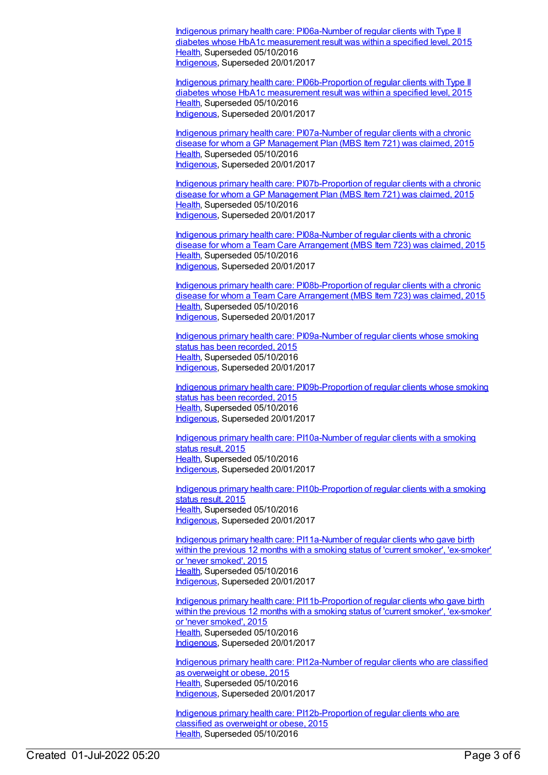Indigenous primary health care: [PI06a-Number](https://meteor.aihw.gov.au/content/592153) of regular clients with Type II diabetes whose HbA1c measurement result was within a specified level, 2015 [Health](https://meteor.aihw.gov.au/RegistrationAuthority/12), Superseded 05/10/2016 [Indigenous](https://meteor.aihw.gov.au/RegistrationAuthority/6), Superseded 20/01/2017

Indigenous primary health care: [PI06b-Proportion](https://meteor.aihw.gov.au/content/589004) of regular clients with Type II diabetes whose HbA1c measurement result was within a specified level, 2015 [Health](https://meteor.aihw.gov.au/RegistrationAuthority/12), Superseded 05/10/2016 [Indigenous](https://meteor.aihw.gov.au/RegistrationAuthority/6), Superseded 20/01/2017

Indigenous primary health care: [PI07a-Number](https://meteor.aihw.gov.au/content/589006) of regular clients with a chronic disease for whom a GP Management Plan (MBS Item 721) was claimed, 2015 [Health](https://meteor.aihw.gov.au/RegistrationAuthority/12), Superseded 05/10/2016 [Indigenous](https://meteor.aihw.gov.au/RegistrationAuthority/6), Superseded 20/01/2017

Indigenous primary health care: [PI07b-Proportion](https://meteor.aihw.gov.au/content/589008) of regular clients with a chronic disease for whom a GP Management Plan (MBS Item 721) was claimed, 2015 [Health](https://meteor.aihw.gov.au/RegistrationAuthority/12), Superseded 05/10/2016 [Indigenous](https://meteor.aihw.gov.au/RegistrationAuthority/6), Superseded 20/01/2017

Indigenous primary health care: [PI08a-Number](https://meteor.aihw.gov.au/content/589012) of regular clients with a chronic disease for whom a Team Care Arrangement (MBS Item 723) was claimed, 2015 [Health](https://meteor.aihw.gov.au/RegistrationAuthority/12), Superseded 05/10/2016 [Indigenous](https://meteor.aihw.gov.au/RegistrationAuthority/6), Superseded 20/01/2017

Indigenous primary health care: [PI08b-Proportion](https://meteor.aihw.gov.au/content/589016) of regular clients with a chronic disease for whom a Team Care Arrangement (MBS Item 723) was claimed, 2015 [Health](https://meteor.aihw.gov.au/RegistrationAuthority/12), Superseded 05/10/2016 [Indigenous](https://meteor.aihw.gov.au/RegistrationAuthority/6), Superseded 20/01/2017

Indigenous primary health care: [PI09a-Number](https://meteor.aihw.gov.au/content/589019) of regular clients whose smoking status has been recorded, 2015 [Health](https://meteor.aihw.gov.au/RegistrationAuthority/12), Superseded 05/10/2016 [Indigenous](https://meteor.aihw.gov.au/RegistrationAuthority/6), Superseded 20/01/2017

Indigenous primary health care: [PI09b-Proportion](https://meteor.aihw.gov.au/content/589021) of regular clients whose smoking status has been recorded, 2015 [Health](https://meteor.aihw.gov.au/RegistrationAuthority/12), Superseded 05/10/2016 [Indigenous](https://meteor.aihw.gov.au/RegistrationAuthority/6), Superseded 20/01/2017

Indigenous primary health care: [PI10a-Number](https://meteor.aihw.gov.au/content/589026) of regular clients with a smoking status result, 2015 [Health](https://meteor.aihw.gov.au/RegistrationAuthority/12), Superseded 05/10/2016 [Indigenous](https://meteor.aihw.gov.au/RegistrationAuthority/6), Superseded 20/01/2017

Indigenous primary health care: [PI10b-Proportion](https://meteor.aihw.gov.au/content/589030) of regular clients with a smoking status result, 2015 [Health](https://meteor.aihw.gov.au/RegistrationAuthority/12), Superseded 05/10/2016 [Indigenous](https://meteor.aihw.gov.au/RegistrationAuthority/6), Superseded 20/01/2017

Indigenous primary health care: [PI11a-Number](https://meteor.aihw.gov.au/content/589035) of regular clients who gave birth within the previous 12 months with a smoking status of 'current smoker', 'ex-smoker' or 'never smoked', 2015 [Health](https://meteor.aihw.gov.au/RegistrationAuthority/12), Superseded 05/10/2016 [Indigenous](https://meteor.aihw.gov.au/RegistrationAuthority/6), Superseded 20/01/2017

Indigenous primary health care: [PI11b-Proportion](https://meteor.aihw.gov.au/content/589037) of regular clients who gave birth within the previous 12 months with a smoking status of 'current smoker', 'ex-smoker' or 'never smoked', 2015 [Health](https://meteor.aihw.gov.au/RegistrationAuthority/12), Superseded 05/10/2016 [Indigenous](https://meteor.aihw.gov.au/RegistrationAuthority/6), Superseded 20/01/2017

Indigenous primary health care: [PI12a-Number](https://meteor.aihw.gov.au/content/589039) of regular clients who are classified as overweight or obese, 2015 [Health](https://meteor.aihw.gov.au/RegistrationAuthority/12), Superseded 05/10/2016 [Indigenous](https://meteor.aihw.gov.au/RegistrationAuthority/6), Superseded 20/01/2017

Indigenous primary health care: [PI12b-Proportion](https://meteor.aihw.gov.au/content/589041) of regular clients who are classified as overweight or obese, 2015 [Health](https://meteor.aihw.gov.au/RegistrationAuthority/12), Superseded 05/10/2016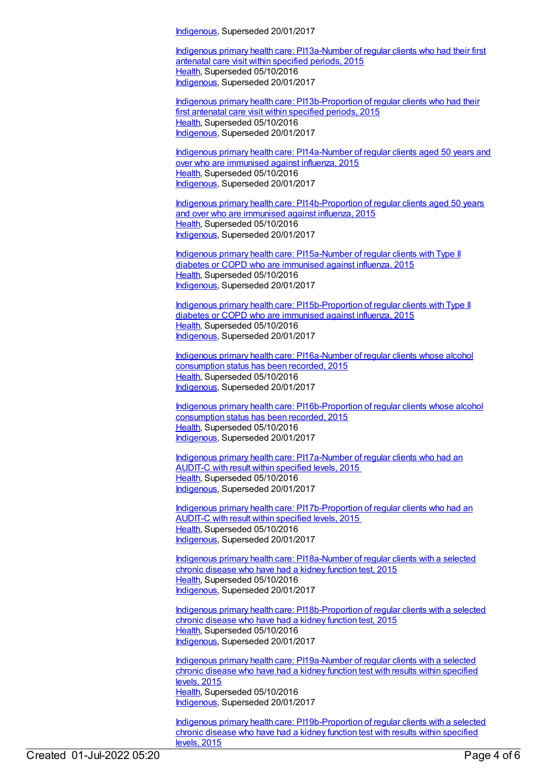[Indigenous](https://meteor.aihw.gov.au/RegistrationAuthority/6), Superseded 20/01/2017

Indigenous primary health care: [PI13a-Number](https://meteor.aihw.gov.au/content/589047) of regular clients who had their first antenatal care visit within specified periods, 2015 [Health](https://meteor.aihw.gov.au/RegistrationAuthority/12), Superseded 05/10/2016 [Indigenous](https://meteor.aihw.gov.au/RegistrationAuthority/6), Superseded 20/01/2017

Indigenous primary health care: [PI13b-Proportion](https://meteor.aihw.gov.au/content/589049) of regular clients who had their first antenatal care visit within specified periods, 2015 [Health](https://meteor.aihw.gov.au/RegistrationAuthority/12), Superseded 05/10/2016 [Indigenous](https://meteor.aihw.gov.au/RegistrationAuthority/6), Superseded 20/01/2017

Indigenous primary health care: [PI14a-Number](https://meteor.aihw.gov.au/content/589051) of regular clients aged 50 years and over who are immunised against influenza, 2015 [Health](https://meteor.aihw.gov.au/RegistrationAuthority/12), Superseded 05/10/2016 [Indigenous](https://meteor.aihw.gov.au/RegistrationAuthority/6), Superseded 20/01/2017

Indigenous primary health care: [PI14b-Proportion](https://meteor.aihw.gov.au/content/589053) of regular clients aged 50 years and over who are immunised against influenza, 2015 [Health](https://meteor.aihw.gov.au/RegistrationAuthority/12), Superseded 05/10/2016 [Indigenous](https://meteor.aihw.gov.au/RegistrationAuthority/6), Superseded 20/01/2017

Indigenous primary health care: [PI15a-Number](https://meteor.aihw.gov.au/content/589056) of regular clients with Type II diabetes or COPD who are immunised against influenza, 2015 [Health](https://meteor.aihw.gov.au/RegistrationAuthority/12), Superseded 05/10/2016 [Indigenous](https://meteor.aihw.gov.au/RegistrationAuthority/6), Superseded 20/01/2017

Indigenous primary health care: [PI15b-Proportion](https://meteor.aihw.gov.au/content/589059) of regular clients with Type II diabetes or COPD who are immunised against influenza, 2015 [Health](https://meteor.aihw.gov.au/RegistrationAuthority/12), Superseded 05/10/2016 [Indigenous](https://meteor.aihw.gov.au/RegistrationAuthority/6), Superseded 20/01/2017

Indigenous primary health care: [PI16a-Number](https://meteor.aihw.gov.au/content/589061) of regular clients whose alcohol consumption status has been recorded, 2015 [Health](https://meteor.aihw.gov.au/RegistrationAuthority/12), Superseded 05/10/2016 [Indigenous](https://meteor.aihw.gov.au/RegistrationAuthority/6), Superseded 20/01/2017

Indigenous primary health care: [PI16b-Proportion](https://meteor.aihw.gov.au/content/589064) of regular clients whose alcohol consumption status has been recorded, 2015 [Health](https://meteor.aihw.gov.au/RegistrationAuthority/12), Superseded 05/10/2016 [Indigenous](https://meteor.aihw.gov.au/RegistrationAuthority/6), Superseded 20/01/2017

Indigenous primary health care: [PI17a-Number](https://meteor.aihw.gov.au/content/591952) of regular clients who had an AUDIT-C with result within specified levels, 2015 [Health](https://meteor.aihw.gov.au/RegistrationAuthority/12), Superseded 05/10/2016 [Indigenous](https://meteor.aihw.gov.au/RegistrationAuthority/6), Superseded 20/01/2017

Indigenous primary health care: [PI17b-Proportion](https://meteor.aihw.gov.au/content/585006) of regular clients who had an AUDIT-C with result within specified levels, 2015 [Health](https://meteor.aihw.gov.au/RegistrationAuthority/12), Superseded 05/10/2016 [Indigenous](https://meteor.aihw.gov.au/RegistrationAuthority/6), Superseded 20/01/2017

Indigenous primary health care: [PI18a-Number](https://meteor.aihw.gov.au/content/589067) of regular clients with a selected chronic disease who have had a kidney function test, 2015 [Health](https://meteor.aihw.gov.au/RegistrationAuthority/12), Superseded 05/10/2016 [Indigenous](https://meteor.aihw.gov.au/RegistrationAuthority/6), Superseded 20/01/2017

Indigenous primary health care: [PI18b-Proportion](https://meteor.aihw.gov.au/content/589069) of regular clients with a selected chronic disease who have had a kidney function test, 2015 [Health](https://meteor.aihw.gov.au/RegistrationAuthority/12), Superseded 05/10/2016 [Indigenous](https://meteor.aihw.gov.au/RegistrationAuthority/6), Superseded 20/01/2017

Indigenous primary health care: [PI19a-Number](https://meteor.aihw.gov.au/content/594135) of regular clients with a selected chronic disease who have had a kidney function test with results within specified levels, 2015 [Health](https://meteor.aihw.gov.au/RegistrationAuthority/12), Superseded 05/10/2016 [Indigenous](https://meteor.aihw.gov.au/RegistrationAuthority/6), Superseded 20/01/2017

Indigenous primary health care: [PI19b-Proportion](https://meteor.aihw.gov.au/content/594108) of regular clients with a selected chronic disease who have had a kidney function test with results within specified levels, 2015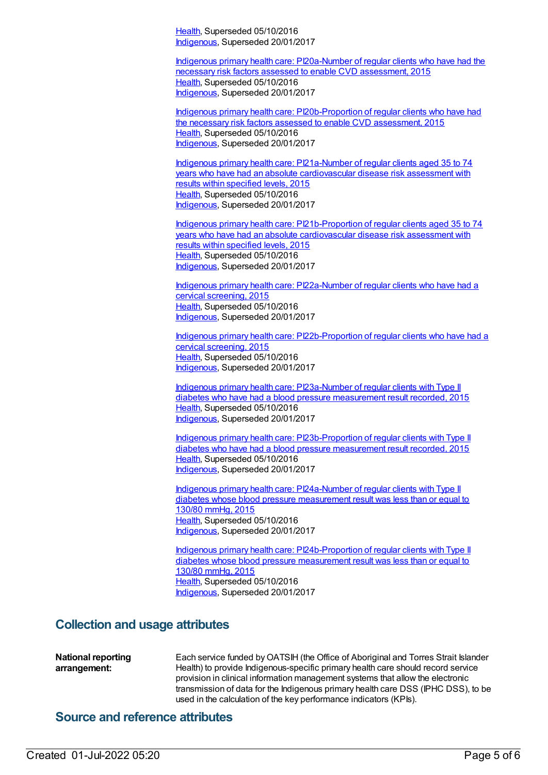[Health](https://meteor.aihw.gov.au/RegistrationAuthority/12), Superseded 05/10/2016 [Indigenous](https://meteor.aihw.gov.au/RegistrationAuthority/6), Superseded 20/01/2017

Indigenous primary health care: [PI20a-Number](https://meteor.aihw.gov.au/content/591955) of regular clients who have had the necessary risk factors assessed to enable CVD assessment, 2015 [Health](https://meteor.aihw.gov.au/RegistrationAuthority/12), Superseded 05/10/2016 [Indigenous](https://meteor.aihw.gov.au/RegistrationAuthority/6), Superseded 20/01/2017

Indigenous primary health care: [PI20b-Proportion](https://meteor.aihw.gov.au/content/588801) of regular clients who have had the necessary risk factors assessed to enable CVD assessment, 2015 [Health](https://meteor.aihw.gov.au/RegistrationAuthority/12), Superseded 05/10/2016 [Indigenous](https://meteor.aihw.gov.au/RegistrationAuthority/6), Superseded 20/01/2017

Indigenous primary health care: PI21a-Number of regular clients aged 35 to 74 years who have had an absolute [cardiovascular](https://meteor.aihw.gov.au/content/591202) disease risk assessment with results within specified levels, 2015 [Health](https://meteor.aihw.gov.au/RegistrationAuthority/12), Superseded 05/10/2016 [Indigenous](https://meteor.aihw.gov.au/RegistrationAuthority/6), Superseded 20/01/2017

Indigenous primary health care: [PI21b-Proportion](https://meteor.aihw.gov.au/content/585230) of regular clients aged 35 to 74 years who have had an absolute cardiovascular disease risk assessment with results within specified levels, 2015 [Health](https://meteor.aihw.gov.au/RegistrationAuthority/12), Superseded 05/10/2016 [Indigenous](https://meteor.aihw.gov.au/RegistrationAuthority/6), Superseded 20/01/2017

Indigenous primary health care: [PI22a-Number](https://meteor.aihw.gov.au/content/589075) of regular clients who have had a cervical screening, 2015 [Health](https://meteor.aihw.gov.au/RegistrationAuthority/12), Superseded 05/10/2016 [Indigenous](https://meteor.aihw.gov.au/RegistrationAuthority/6), Superseded 20/01/2017

Indigenous primary health care: [PI22b-Proportion](https://meteor.aihw.gov.au/content/589077) of regular clients who have had a cervical screening, 2015 [Health](https://meteor.aihw.gov.au/RegistrationAuthority/12), Superseded 05/10/2016 [Indigenous](https://meteor.aihw.gov.au/RegistrationAuthority/6), Superseded 20/01/2017

Indigenous primary health care: [PI23a-Number](https://meteor.aihw.gov.au/content/589079) of regular clients with Type II diabetes who have had a blood pressure measurement result recorded, 2015 [Health](https://meteor.aihw.gov.au/RegistrationAuthority/12), Superseded 05/10/2016 [Indigenous](https://meteor.aihw.gov.au/RegistrationAuthority/6), Superseded 20/01/2017

Indigenous primary health care: [PI23b-Proportion](https://meteor.aihw.gov.au/content/589081) of regular clients with Type II diabetes who have had a blood pressure measurement result recorded, 2015 [Health](https://meteor.aihw.gov.au/RegistrationAuthority/12), Superseded 05/10/2016 [Indigenous](https://meteor.aihw.gov.au/RegistrationAuthority/6), Superseded 20/01/2017

Indigenous primary health care: [PI24a-Number](https://meteor.aihw.gov.au/content/589083) of regular clients with Type II diabetes whose blood pressure measurement result was less than or equal to 130/80 mmHg, 2015 [Health](https://meteor.aihw.gov.au/RegistrationAuthority/12), Superseded 05/10/2016 [Indigenous](https://meteor.aihw.gov.au/RegistrationAuthority/6), Superseded 20/01/2017

Indigenous primary health care: [PI24b-Proportion](https://meteor.aihw.gov.au/content/589085) of regular clients with Type II diabetes whose blood pressure measurement result was less than or equal to 130/80 mmHg, 2015 [Health](https://meteor.aihw.gov.au/RegistrationAuthority/12), Superseded 05/10/2016 [Indigenous](https://meteor.aihw.gov.au/RegistrationAuthority/6), Superseded 20/01/2017

#### **Collection and usage attributes**

**National reporting arrangement:** Each service funded by OATSIH (the Office of Aboriginal and Torres Strait Islander Health) to provide Indigenous-specific primary health care should record service provision in clinical information management systems that allow the electronic transmission of data for the Indigenous primary health care DSS (IPHC DSS), to be used in the calculation of the key performance indicators (KPIs).

#### **Source and reference attributes**